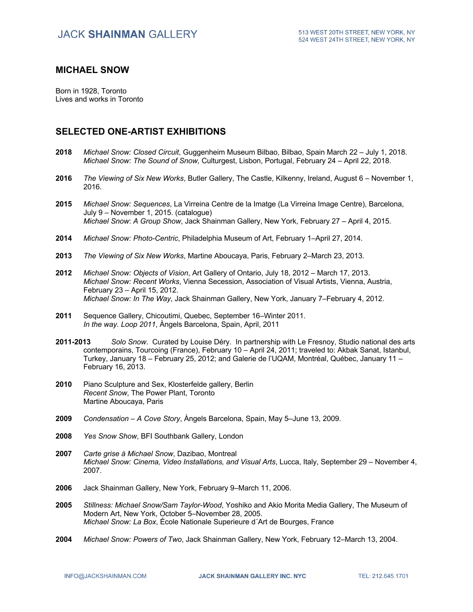### **MICHAEL SNOW**

Born in 1928, Toronto Lives and works in Toronto

## **SELECTED ONE-ARTIST EXHIBITIONS**

- **2018** *Michael Snow: Closed Circuit*, Guggenheim Museum Bilbao, Bilbao, Spain March 22 July 1, 2018. *Michael Snow: The Sound of Snow,* Culturgest, Lisbon, Portugal, February 24 – April 22, 2018.
- **2016** *The Viewing of Six New Works*, Butler Gallery, The Castle, Kilkenny, Ireland, August 6 November 1, 2016.
- **2015** *Michael Snow: Sequences*, La Virreina Centre de la Imatge (La Virreina Image Centre), Barcelona, July 9 – November 1, 2015. (catalogue) *Michael Snow*: *A Group Show*, Jack Shainman Gallery, New York, February 27 – April 4, 2015.
- **2014** *Michael Snow: Photo-Centric*, Philadelphia Museum of Art, February 1–April 27, 2014.
- **2013** *The Viewing of Six New Works*, Martine Aboucaya, Paris, February 2–March 23, 2013.
- **2012** *Michael Snow: Objects of Vision*, Art Gallery of Ontario, July 18, 2012 March 17, 2013. *Michael Snow: Recent Works*, Vienna Secession, Association of Visual Artists, Vienna, Austria, February 23 – April 15, 2012. *Michael Snow: In The Way*, Jack Shainman Gallery, New York, January 7–February 4, 2012.
- **2011** Sequence Gallery, Chicoutimi, Quebec, September 16–Winter 2011. *In the way. Loop 2011*, Àngels Barcelona, Spain, April, 2011
- **2011-2013** *Solo Snow*. Curated by Louise Déry. In partnership with Le Fresnoy, Studio national des arts contemporains, Tourcoing (France), February 10 – April 24, 2011; traveled to: Akbak Sanat, Istanbul, Turkey, January 18 – February 25, 2012; and Galerie de l'UQAM, Montréal, Québec, January 11 – February 16, 2013.
- **2010** Piano Sculpture and Sex, Klosterfelde gallery, Berlin *Recent Snow*, The Power Plant, Toronto Martine Aboucaya, Paris
- **2009** *Condensation – A Cove Story*, Àngels Barcelona, Spain, May 5–June 13, 2009.
- **2008** *Yes Snow Show*, BFI Southbank Gallery, London
- **2007** *Carte grise à Michael Snow*, Dazibao, Montreal *Michael Snow: Cinema, Video Installations, and Visual Arts*, Lucca, Italy, September 29 – November 4, 2007.
- **2006** Jack Shainman Gallery, New York, February 9–March 11, 2006.
- **2005** *Stillness: Michael Snow/Sam Taylor-Wood*, Yoshiko and Akio Morita Media Gallery, The Museum of Modern Art, New York, October 5–November 28, 2005. *Michael Snow: La Box*, École Nationale Superieure d´Art de Bourges, France
- **2004** *Michael Snow: Powers of Two*, Jack Shainman Gallery, New York, February 12–March 13, 2004.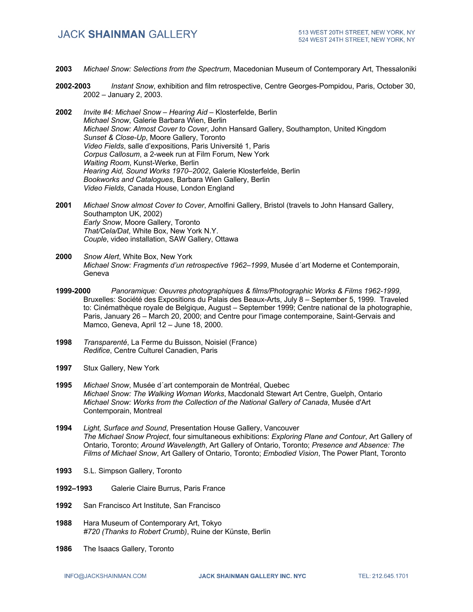- **2003** *Michael Snow: Selections from the Spectrum*, Macedonian Museum of Contemporary Art, Thessaloniki
- **2002-2003** *Instant Snow*, exhibition and film retrospective, Centre Georges-Pompidou, Paris, October 30, 2002 – January 2, 2003.
- **2002** *Invite #4: Michael Snow – Hearing Aid –* Klosterfelde, Berlin *Michael Snow*, Galerie Barbara Wien, Berlin *Michael Snow: Almost Cover to Cover*, John Hansard Gallery, Southampton, United Kingdom *Sunset & Close-Up*, Moore Gallery, Toronto *Video Fields*, salle d'expositions, Paris Université 1, Paris *Corpus Callosum*, a 2-week run at Film Forum, New York *Waiting Room*, Kunst-Werke, Berlin *Hearing Aid, Sound Works 1970–2002*, Galerie Klosterfelde, Berlin *Bookworks and Catalogues*, Barbara Wien Gallery, Berlin *Video Fields*, Canada House, London England
- **2001** *Michael Snow almost Cover to Cover*, Arnolfini Gallery, Bristol (travels to John Hansard Gallery, Southampton UK, 2002) *Early Snow*, Moore Gallery, Toronto *That/Cela/Dat*, White Box, New York N.Y. *Couple*, video installation, SAW Gallery, Ottawa
- **2000** *Snow Alert*, White Box, New York *Michael Snow: Fragments d'un retrospective 1962–1999*, Musée d´art Moderne et Contemporain, Geneva
- **1999-2000** *Panoramique: Oeuvres photographiques & films/Photographic Works & Films 1962-1999*, Bruxelles: Société des Expositions du Palais des Beaux-Arts, July 8 – September 5, 1999. Traveled to: Cinémathèque royale de Belgique, August – September 1999; Centre national de la photographie, Paris, January 26 – March 20, 2000; and Centre pour l'image contemporaine, Saint-Gervais and Mamco, Geneva, April 12 – June 18, 2000.
- **1998** *Transparenté*, La Ferme du Buisson, Noisiel (France) *Redifice*, Centre Culturel Canadien, Paris
- **1997** Stux Gallery, New York
- **1995** *Michael Snow*, Musée d´art contemporain de Montréal, Quebec *Michael Snow: The Walking Woman Works*, Macdonald Stewart Art Centre, Guelph, Ontario *Michael Snow: Works from the Collection of the National Gallery of Canada*, Musée d'Art Contemporain, Montreal
- **1994** *Light, Surface and Sound*, Presentation House Gallery, Vancouver *The Michael Snow Project*, four simultaneous exhibitions: *Exploring Plane and Contour*, Art Gallery of Ontario, Toronto; *Around Wavelength*, Art Gallery of Ontario, Toronto; *Presence and Absence: The Films of Michael Snow*, Art Gallery of Ontario, Toronto; *Embodied Vision*, The Power Plant, Toronto
- **1993** S.L. Simpson Gallery, Toronto
- **1992–1993** Galerie Claire Burrus, Paris France
- **1992** San Francisco Art Institute, San Francisco
- **1988** Hara Museum of Contemporary Art, Tokyo *#720 (Thanks to Robert Crumb)*, Ruine der Künste, Berlin
- **1986** The Isaacs Gallery, Toronto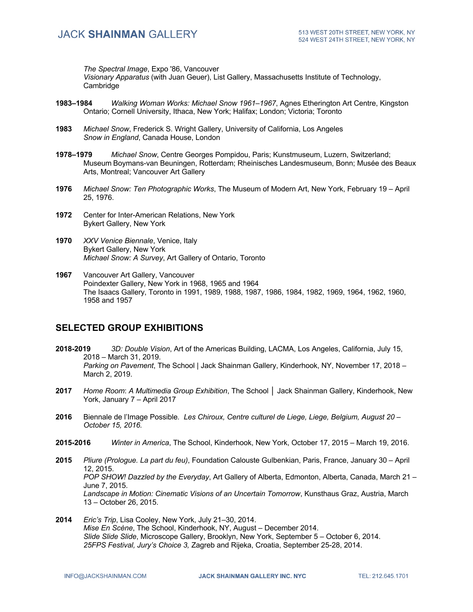*The Spectral Image*, Expo '86, Vancouver

*Visionary Apparatus* (with Juan Geuer), List Gallery, Massachusetts Institute of Technology, Cambridge

- **1983–1984** *Walking Woman Works: Michael Snow 1961–1967*, Agnes Etherington Art Centre, Kingston Ontario; Cornell University, Ithaca, New York; Halifax; London; Victoria; Toronto
- **1983** *Michael Snow*, Frederick S. Wright Gallery, University of California, Los Angeles *Snow in England*, Canada House, London
- **1978–1979** *Michael Snow*, Centre Georges Pompidou, Paris; Kunstmuseum, Luzern, Switzerland; Museum Boymans-van Beuningen, Rotterdam; Rheinisches Landesmuseum, Bonn; Musée des Beaux Arts, Montreal; Vancouver Art Gallery
- **1976** *Michael Snow: Ten Photographic Works*, The Museum of Modern Art, New York, February 19 April 25, 1976.
- **1972** Center for Inter-American Relations, New York Bykert Gallery, New York
- **1970** *XXV Venice Biennale*, Venice, Italy Bykert Gallery, New York *Michael Snow: A Survey*, Art Gallery of Ontario, Toronto
- **1967** Vancouver Art Gallery, Vancouver Poindexter Gallery, New York in 1968, 1965 and 1964 The Isaacs Gallery, Toronto in 1991, 1989, 1988, 1987, 1986, 1984, 1982, 1969, 1964, 1962, 1960, 1958 and 1957

## **SELECTED GROUP EXHIBITIONS**

- **2018-2019** *3D: Double Vision*, Art of the Americas Building, LACMA, Los Angeles, California, July 15, 2018 – March 31, 2019. *Parking on Pavement*, The School | Jack Shainman Gallery, Kinderhook, NY, November 17, 2018 – March 2, 2019.
- **2017** *Home Room*: *A Multimedia Group Exhibition*, The School **│** Jack Shainman Gallery, Kinderhook, New York, January 7 – April 2017
- **2016** Biennale de l'Image Possible*. Les Chiroux, Centre culturel de Liege, Liege, Belgium, August 20 – October 15, 2016.*
- **2015-2016** *Winter in America*, The School, Kinderhook, New York, October 17, 2015 March 19, 2016.
- **2015** *Pliure (Prologue. La part du feu)*, Foundation Calouste Gulbenkian, Paris, France, January 30 April 12, 2015. *POP SHOW! Dazzled by the Everyday*, Art Gallery of Alberta, Edmonton, Alberta, Canada, March 21 – June 7, 2015. *Landscape in Motion: Cinematic Visions of an Uncertain Tomorrow*, Kunsthaus Graz, Austria, March 13 – October 26, 2015.
- **2014** *Eric's Trip*, Lisa Cooley, New York, July 21–30, 2014. *Mise En Scène*, The School, Kinderhook, NY, August – December 2014. *Slide Slide Slide*, Microscope Gallery, Brooklyn, New York, September 5 – October 6, 2014. *25FPS Festival, Jury's Choice 3,* Zagreb and Rijeka, Croatia, September 25-28, 2014.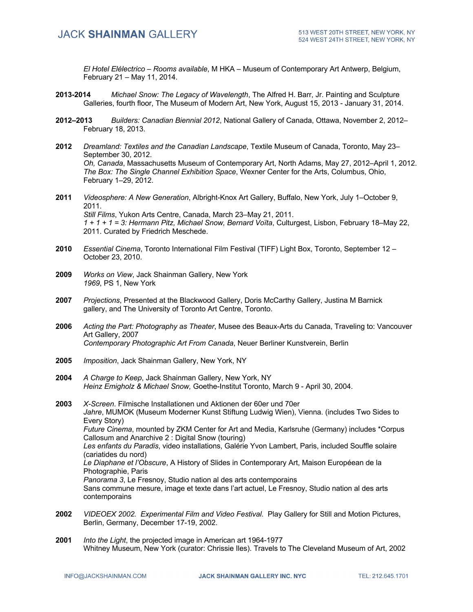*El Hotel Elélectrico – Rooms available*, M HKA – Museum of Contemporary Art Antwerp, Belgium, February 21 – May 11, 2014.

- **2013-2014** *Michael Snow: The Legacy of Wavelength*, The Alfred H. Barr, Jr. Painting and Sculpture Galleries, fourth floor, The Museum of Modern Art, New York, August 15, 2013 - January 31, 2014.
- **2012–2013** *Builders: Canadian Biennial 2012*, National Gallery of Canada, Ottawa, November 2, 2012– February 18, 2013.
- **2012** *Dreamland: Textiles and the Canadian Landscape*, Textile Museum of Canada, Toronto, May 23– September 30, 2012. *Oh, Canada*, Massachusetts Museum of Contemporary Art, North Adams, May 27, 2012–April 1, 2012. *The Box: The Single Channel Exhibition Space*, Wexner Center for the Arts, Columbus, Ohio, February 1–29, 2012.
- **2011** *Videosphere: A New Generation*, Albright-Knox Art Gallery, Buffalo, New York, July 1–October 9, 2011. *Still Films*, Yukon Arts Centre, Canada, March 23–May 21, 2011. *1 + 1 + 1 = 3: Hermann Pitz, Michael Snow, Bernard Voïta*, Culturgest, Lisbon, February 18–May 22, 2011. Curated by Friedrich Meschede.
- **2010** *Essential Cinema*, Toronto International Film Festival (TIFF) Light Box, Toronto, September 12 October 23, 2010.
- **2009** *Works on View*, Jack Shainman Gallery, New York *1969*, PS 1, New York
- **2007** *Projections*, Presented at the Blackwood Gallery, Doris McCarthy Gallery, Justina M Barnick gallery, and The University of Toronto Art Centre, Toronto.
- **2006** *Acting the Part: Photography as Theater*, Musee des Beaux-Arts du Canada, Traveling to: Vancouver Art Gallery, 2007 *Contemporary Photographic Art From Canada*, Neuer Berliner Kunstverein, Berlin
- **2005** *Imposition*, Jack Shainman Gallery, New York, NY
- **2004** *A Charge to Keep*, Jack Shainman Gallery, New York, NY *Heinz Emigholz & Michael Snow,* Goethe-Institut Toronto, March 9 - April 30, 2004.
- **2003** *X-Screen*. Filmische Installationen und Aktionen der 60er und 70er *Jahre*, MUMOK (Museum Moderner Kunst Stiftung Ludwig Wien), Vienna. (includes Two Sides to Every Story) *Future Cinema*, mounted by ZKM Center for Art and Media, Karlsruhe (Germany) includes \*Corpus Callosum and Anarchive 2 : Digital Snow (touring) *Les enfants du Paradis*, video installations, Galérie Yvon Lambert, Paris, included Souffle solaire (cariatides du nord) *Le Diaphane et l'Obscure*, A History of Slides in Contemporary Art, Maison Européean de la Photographie, Paris *Panorama 3*, Le Fresnoy, Studio nation al des arts contemporains Sans commune mesure, image et texte dans l'art actuel, Le Fresnoy, Studio nation al des arts contemporains
- **2002** *VIDEOEX 2002. Experimental Film and Video Festival.* Play Gallery for Still and Motion Pictures, Berlin, Germany, December 17-19, 2002.
- **2001** *Into the Light*, the projected image in American art 1964-1977 Whitney Museum, New York (curator: Chrissie Iles). Travels to The Cleveland Museum of Art, 2002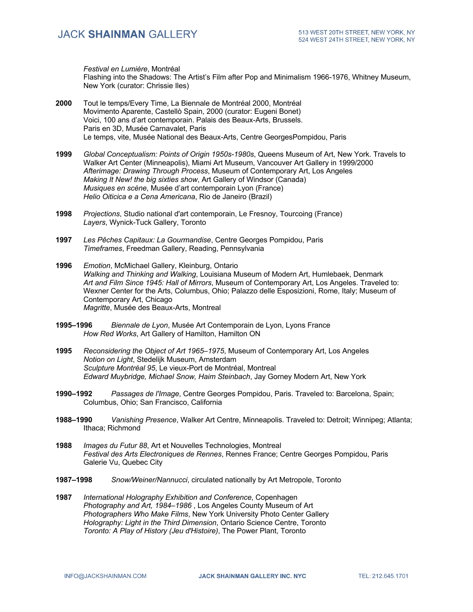*Festival en Lumière*, Montréal Flashing into the Shadows: The Artist's Film after Pop and Minimalism 1966-1976, Whitney Museum, New York (curator: Chrissie Iles)

- **2000** Tout le temps/Every Time, La Biennale de Montréal 2000, Montréal Movimento Aparente, Castellò Spain, 2000 (curator: Eugeni Bonet) Voici, 100 ans d'art contemporain. Palais des Beaux-Arts, Brussels. Paris en 3D, Musée Carnavalet, Paris Le temps, vite, Musée National des Beaux-Arts, Centre GeorgesPompidou, Paris
- **1999** *Global Conceptualism: Points of Origin 1950s-1980s*, Queens Museum of Art, New York. Travels to Walker Art Center (Minneapolis), Miami Art Museum, Vancouver Art Gallery in 1999/2000 *Afterimage: Drawing Through Process*, Museum of Contemporary Art, Los Angeles *Making It New! the big sixties show*, Art Gallery of Windsor (Canada) *Musiques en scène*, Musée d'art contemporain Lyon (France) *Helio Oiticica e a Cena Americana*, Rio de Janeiro (Brazil)
- **1998** *Projections*, Studio national d'art contemporain, Le Fresnoy, Tourcoing (France) *Layers*, Wynick-Tuck Gallery, Toronto
- **1997** *Les Pêches Capitaux: La Gourmandise*, Centre Georges Pompidou, Paris *Timeframes*, Freedman Gallery, Reading, Pennsylvania
- **1996** *Emotion*, McMichael Gallery, Kleinburg, Ontario *Walking and Thinking and Walking*, Louisiana Museum of Modern Art, Humlebaek, Denmark *Art and Film Since 1945: Hall of Mirrors*, Museum of Contemporary Art, Los Angeles. Traveled to: Wexner Center for the Arts, Columbus, Ohio; Palazzo delle Esposizioni, Rome, Italy; Museum of Contemporary Art, Chicago *Magritte*, Musée des Beaux-Arts, Montreal
- **1995–1996** *Biennale de Lyon*, Musée Art Contemporain de Lyon, Lyons France *How Red Works*, Art Gallery of Hamilton, Hamilton ON
- **1995** *Reconsidering the Object of Art 1965–1975*, Museum of Contemporary Art, Los Angeles *Notion on Light*, Stedelijk Museum, Amsterdam *Sculpture Montréal 95*, Le vieux-Port de Montréal, Montreal *Edward Muybridge, Michael Snow, Haim Steinbach*, Jay Gorney Modern Art, New York
- **1990–1992** *Passages de l'Image*, Centre Georges Pompidou, Paris. Traveled to: Barcelona, Spain; Columbus, Ohio; San Francisco, California
- **1988–1990** *Vanishing Presence*, Walker Art Centre, Minneapolis. Traveled to: Detroit; Winnipeg; Atlanta; Ithaca; Richmond
- **1988** *Images du Futur 88*, Art et Nouvelles Technologies, Montreal *Festival des Arts Electroniques de Rennes*, Rennes France; Centre Georges Pompidou, Paris Galerie Vu, Quebec City
- **1987–1998** *Snow/Weiner/Nannucci*, circulated nationally by Art Metropole, Toronto
- **1987** *International Holography Exhibition and Conference*, Copenhagen *Photography and Art, 1984–1986* , Los Angeles County Museum of Art *Photographers Who Make Films*, New York University Photo Center Gallery *Holography: Light in the Third Dimension*, Ontario Science Centre, Toronto *Toronto: A Play of History (Jeu d'Histoire)*, The Power Plant, Toronto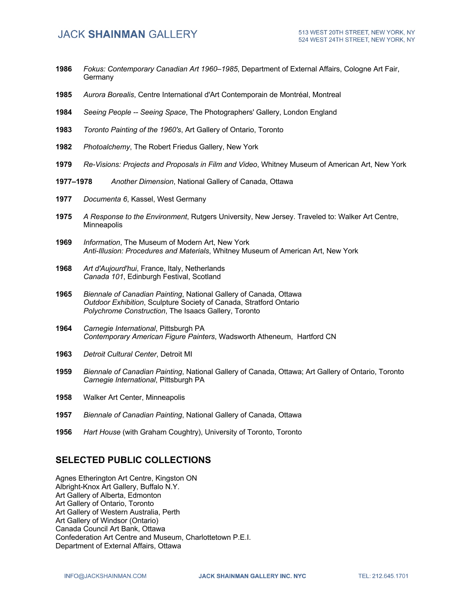- **1986** *Fokus: Contemporary Canadian Art 1960–1985*, Department of External Affairs, Cologne Art Fair, **Germany**
- **1985** *Aurora Borealis*, Centre International d'Art Contemporain de Montréal, Montreal
- **1984** *Seeing People -- Seeing Space*, The Photographers' Gallery, London England
- **1983** *Toronto Painting of the 1960's*, Art Gallery of Ontario, Toronto
- **1982** *Photoalchemy*, The Robert Friedus Gallery, New York
- **1979** *Re-Visions: Projects and Proposals in Film and Video*, Whitney Museum of American Art, New York
- **1977–1978** *Another Dimension*, National Gallery of Canada, Ottawa
- **1977** *Documenta 6*, Kassel, West Germany
- **1975** *A Response to the Environment*, Rutgers University, New Jersey. Traveled to: Walker Art Centre, Minneapolis
- **1969** *Information*, The Museum of Modern Art, New York *Anti-Illusion: Procedures and Materials*, Whitney Museum of American Art, New York
- **1968** *Art d'Aujourd'hui*, France, Italy, Netherlands *Canada 101*, Edinburgh Festival, Scotland
- **1965** *Biennale of Canadian Painting*, National Gallery of Canada, Ottawa *Outdoor Exhibition*, Sculpture Society of Canada, Stratford Ontario *Polychrome Construction*, The Isaacs Gallery, Toronto
- **1964** *Carnegie International*, Pittsburgh PA *Contemporary American Figure Painters*, Wadsworth Atheneum, Hartford CN
- **1963** *Detroit Cultural Center*, Detroit MI
- **1959** *Biennale of Canadian Painting*, National Gallery of Canada, Ottawa; Art Gallery of Ontario, Toronto *Carnegie International*, Pittsburgh PA
- **1958** Walker Art Center, Minneapolis
- **1957** *Biennale of Canadian Painting*, National Gallery of Canada, Ottawa
- **1956** *Hart House* (with Graham Coughtry), University of Toronto, Toronto

## **SELECTED PUBLIC COLLECTIONS**

Agnes Etherington Art Centre, Kingston ON Albright-Knox Art Gallery, Buffalo N.Y. Art Gallery of Alberta, Edmonton Art Gallery of Ontario, Toronto Art Gallery of Western Australia, Perth Art Gallery of Windsor (Ontario) Canada Council Art Bank, Ottawa Confederation Art Centre and Museum, Charlottetown P.E.I. Department of External Affairs, Ottawa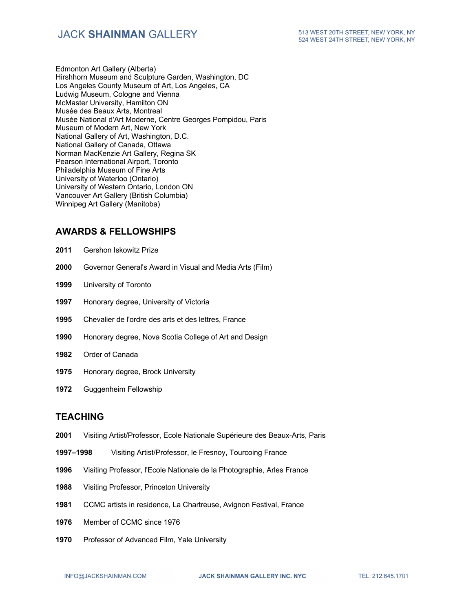Edmonton Art Gallery (Alberta) Hirshhorn Museum and Sculpture Garden, Washington, DC Los Angeles County Museum of Art, Los Angeles, CA Ludwig Museum, Cologne and Vienna McMaster University, Hamilton ON Musée des Beaux Arts, Montreal Musée National d'Art Moderne, Centre Georges Pompidou, Paris Museum of Modern Art, New York National Gallery of Art, Washington, D.C. National Gallery of Canada, Ottawa Norman MacKenzie Art Gallery, Regina SK Pearson International Airport, Toronto Philadelphia Museum of Fine Arts University of Waterloo (Ontario) University of Western Ontario, London ON Vancouver Art Gallery (British Columbia) Winnipeg Art Gallery (Manitoba)

## **AWARDS & FELLOWSHIPS**

- **2011** Gershon Iskowitz Prize
- **2000** Governor General's Award in Visual and Media Arts (Film)
- **1999** University of Toronto
- **1997** Honorary degree, University of Victoria
- **1995** Chevalier de l'ordre des arts et des lettres, France
- **1990** Honorary degree, Nova Scotia College of Art and Design
- **1982** Order of Canada
- **1975** Honorary degree, Brock University
- **1972** Guggenheim Fellowship

#### **TEACHING**

- **2001** Visiting Artist/Professor, Ecole Nationale Supérieure des Beaux-Arts, Paris
- **1997–1998** Visiting Artist/Professor, le Fresnoy, Tourcoing France
- **1996** Visiting Professor, l'Ecole Nationale de la Photographie, Arles France
- **1988** Visiting Professor, Princeton University
- **1981** CCMC artists in residence, La Chartreuse, Avignon Festival, France
- **1976** Member of CCMC since 1976
- **1970** Professor of Advanced Film, Yale University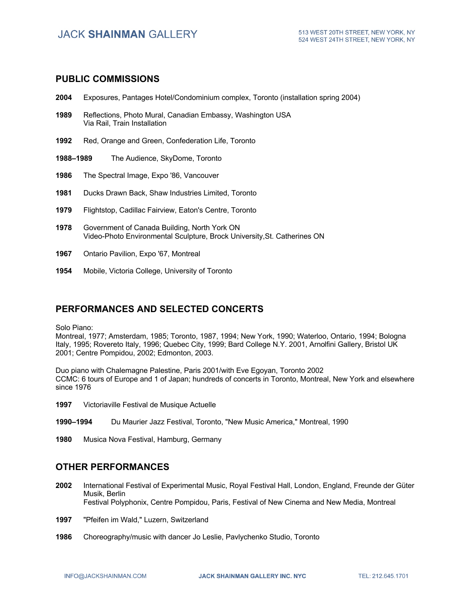#### **PUBLIC COMMISSIONS**

- **2004** Exposures, Pantages Hotel/Condominium complex, Toronto (installation spring 2004)
- **1989** Reflections, Photo Mural, Canadian Embassy, Washington USA Via Rail, Train Installation
- **1992** Red, Orange and Green, Confederation Life, Toronto
- **1988–1989** The Audience, SkyDome, Toronto
- **1986** The Spectral Image, Expo '86, Vancouver
- **1981** Ducks Drawn Back, Shaw Industries Limited, Toronto
- **1979** Flightstop, Cadillac Fairview, Eaton's Centre, Toronto
- **1978** Government of Canada Building, North York ON Video-Photo Environmental Sculpture, Brock University,St. Catherines ON
- **1967** Ontario Pavilion, Expo '67, Montreal
- **1954** Mobile, Victoria College, University of Toronto

## **PERFORMANCES AND SELECTED CONCERTS**

Solo Piano:

Montreal, 1977; Amsterdam, 1985; Toronto, 1987, 1994; New York, 1990; Waterloo, Ontario, 1994; Bologna Italy, 1995; Rovereto Italy, 1996; Quebec City, 1999; Bard College N.Y. 2001, Arnolfini Gallery, Bristol UK 2001; Centre Pompidou, 2002; Edmonton, 2003.

Duo piano with Chalemagne Palestine, Paris 2001/with Eve Egoyan, Toronto 2002 CCMC: 6 tours of Europe and 1 of Japan; hundreds of concerts in Toronto, Montreal, New York and elsewhere since 1976

- **1997** Victoriaville Festival de Musique Actuelle
- **1990–1994** Du Maurier Jazz Festival, Toronto, "New Music America," Montreal, 1990
- **1980** Musica Nova Festival, Hamburg, Germany

#### **OTHER PERFORMANCES**

- **2002** International Festival of Experimental Music, Royal Festival Hall, London, England, Freunde der Güter Musik, Berlin Festival Polyphonix, Centre Pompidou, Paris, Festival of New Cinema and New Media, Montreal
- **1997** "Pfeifen im Wald," Luzern, Switzerland
- **1986** Choreography/music with dancer Jo Leslie, Pavlychenko Studio, Toronto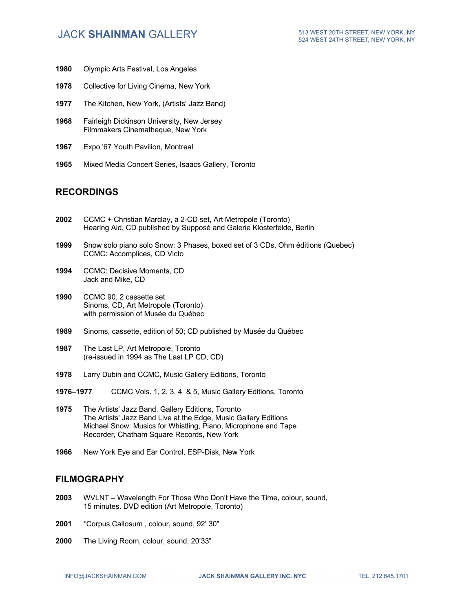- **1980** Olympic Arts Festival, Los Angeles
- **1978** Collective for Living Cinema, New York
- **1977** The Kitchen, New York, (Artists' Jazz Band)
- **1968** Fairleigh Dickinson University, New Jersey Filmmakers Cinematheque, New York
- **1967** Expo '67 Youth Pavilion, Montreal
- **1965** Mixed Media Concert Series, Isaacs Gallery, Toronto

### **RECORDINGS**

- **2002** CCMC + Christian Marclay, a 2-CD set, Art Metropole (Toronto) Hearing Aid, CD published by Supposé and Galerie Klosterfelde, Berlin
- **1999** Snow solo piano solo Snow: 3 Phases, boxed set of 3 CDs, Ohm éditions (Quebec) CCMC: Accomplices, CD Victo
- **1994** CCMC: Decisive Moments, CD Jack and Mike, CD
- **1990** CCMC 90, 2 cassette set Sinoms, CD, Art Metropole (Toronto) with permission of Musée du Québec
- **1989** Sinoms, cassette, edition of 50; CD published by Musée du Québec
- **1987** The Last LP, Art Metropole, Toronto (re-issued in 1994 as The Last LP CD, CD)
- **1978** Larry Dubin and CCMC, Music Gallery Editions, Toronto
- **1976–1977** CCMC Vols. 1, 2, 3, 4 & 5, Music Gallery Editions, Toronto
- **1975** The Artists' Jazz Band, Gallery Editions, Toronto The Artists' Jazz Band Live at the Edge, Music Gallery Editions Michael Snow: Musics for Whistling, Piano, Microphone and Tape Recorder, Chatham Square Records, New York
- **1966** New York Eye and Ear Control, ESP-Disk, New York

#### **FILMOGRAPHY**

- **2003** WVLNT Wavelength For Those Who Don't Have the Time, colour, sound, 15 minutes. DVD edition (Art Metropole, Toronto)
- **2001** \*Corpus Callosum , colour, sound, 92' 30"
- **2000** The Living Room, colour, sound, 20'33"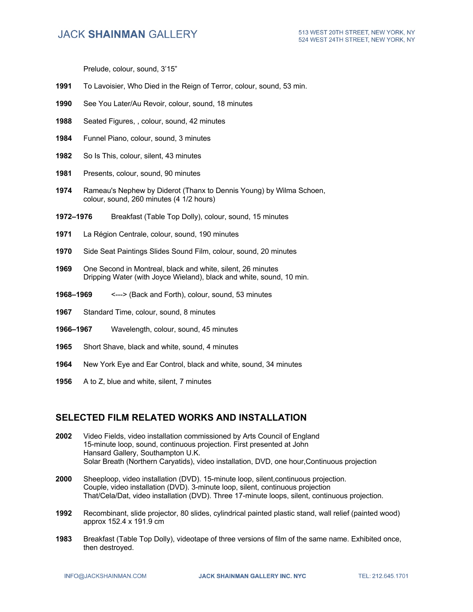Prelude, colour, sound, 3'15"

- **1991** To Lavoisier, Who Died in the Reign of Terror, colour, sound, 53 min.
- **1990** See You Later/Au Revoir, colour, sound, 18 minutes
- **1988** Seated Figures, , colour, sound, 42 minutes
- **1984** Funnel Piano, colour, sound, 3 minutes
- **1982** So Is This, colour, silent, 43 minutes
- **1981** Presents, colour, sound, 90 minutes
- **1974** Rameau's Nephew by Diderot (Thanx to Dennis Young) by Wilma Schoen, colour, sound, 260 minutes (4 1/2 hours)
- **1972–1976** Breakfast (Table Top Dolly), colour, sound, 15 minutes
- **1971** La Région Centrale, colour, sound, 190 minutes
- **1970** Side Seat Paintings Slides Sound Film, colour, sound, 20 minutes
- **1969** One Second in Montreal, black and white, silent, 26 minutes Dripping Water (with Joyce Wieland), black and white, sound, 10 min.
- **1968–1969** <---> (Back and Forth), colour, sound, 53 minutes
- **1967** Standard Time, colour, sound, 8 minutes
- **1966–1967** Wavelength, colour, sound, 45 minutes
- **1965** Short Shave, black and white, sound, 4 minutes
- **1964** New York Eye and Ear Control, black and white, sound, 34 minutes
- **1956** A to Z, blue and white, silent, 7 minutes

### **SELECTED FILM RELATED WORKS AND INSTALLATION**

- **2002** Video Fields, video installation commissioned by Arts Council of England 15-minute loop, sound, continuous projection. First presented at John Hansard Gallery, Southampton U.K. Solar Breath (Northern Caryatids), video installation, DVD, one hour,Continuous projection
- **2000** Sheeploop, video installation (DVD). 15-minute loop, silent,continuous projection. Couple, video installation (DVD). 3-minute loop, silent, continuous projection That/Cela/Dat, video installation (DVD). Three 17-minute loops, silent, continuous projection.
- **1992** Recombinant, slide projector, 80 slides, cylindrical painted plastic stand, wall relief (painted wood) approx 152.4 x 191.9 cm
- **1983** Breakfast (Table Top Dolly), videotape of three versions of film of the same name. Exhibited once, then destroyed.